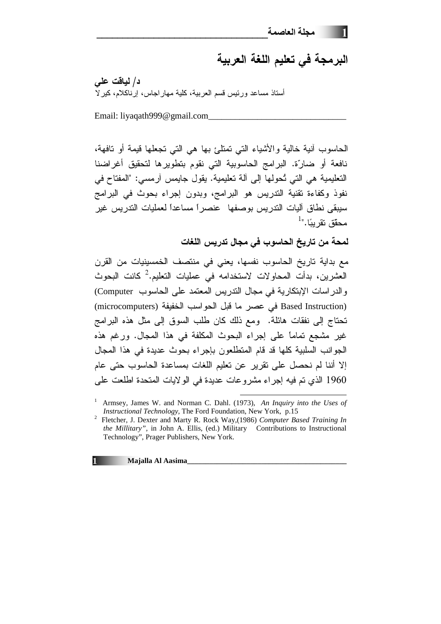## البرمجة في تعليم اللغة العربية

د/ لياقت على أستاذ مساعد ورئيس قسم العربية، كلية مهار إجاس، إرناكلام، كير لا

Email: liyaqath999@gmail.com

الحاسوب أنية خالية والأشياء التي تمتلئ بها هي التي تجعلها فيمة أو نافهة، نافعة أو ضارّة. البرامج الحاسوبية التي نقوم بتطويرها لتحقيق أغراضنا التعليمية هي التي تُحولها إلى آلة تعليمية. يقول جايمس آرمسي: "المفتاح في نفوذ وكفاءة تقنية التدريس هو البرامج، وبدون إجراء بحوث في البرامج سيبقى نطاق آليات التدريس بوصفها عنصراً مساعداً لعمليات التدريس غير  $^{-1}$ "،محقّق نقر بيَّا

لمحة من تاريخ الحاسوب في مجال تدريس اللغات

مع بداية تاريخ الحاسوب نفسها، يعني في منتصف الخمسينيات من القرن العشرين، بدأت المحاولات لاستخدامه في عمليات التعليم.<sup>2</sup> كانت البحوث والدراسات الإبتكارية في مجال التدريس المعتمد على الحاسوب Computer) (Based Instruction) في عصر ما قبل الحواسب الخفيفة (microcomputers) تحتاج إلى نفقات هائلة. ومع ذلك كان طلب السوق إلى مثل هذه البرامج غير مشجع تماماً على إجراء البحوث المكلفة في هذا المجال. ورغم هذه الجوانب السلبية كلها قد قام المتطلعون بإجراء بحوث عديدة في هذا المجال إلا أننا لم نحصل على تقرير عن تعليم اللغات بمساعدة الحاسوب حتى عام 1960 الذي تم فيه إجراء مشروعات عديدة في الولايات المتحدة اطلعت على

Armsey, James W. and Norman C. Dahl. (1973), An Inquiry into the Uses of *Instructional Technology*, The Ford Foundation, New York, p.15

<sup>&</sup>lt;sup>2</sup> Fletcher, J. Dexter and Marty R. Rock Way,(1986) Computer Based Training In the Millitary", in John A. Ellis, (ed.) Military Contributions to Instructional Technology", Prager Publishers, New York.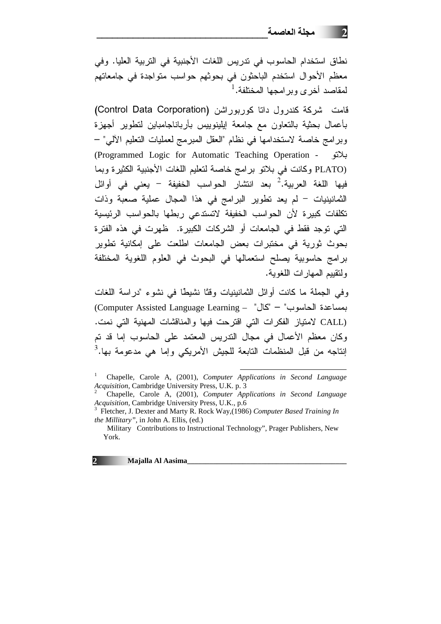نطاق استخدام الحاسوب في تدريس اللغات الأجنبية في التربية العليا. وفي معظم الأحوال استخدم الباحثون في بحوثهم حواسب متواجدة في جامعاتهم لمقاصد أخرى وبر امجها المختلفة.<sup>1</sup>

قامت شرکة کندرول داتا کوربوراشن (Control Data Corporation) بأعمال بحثية بالنعاون مع جامعة إيلينوييس بأرباناجامباين لنطوير أجهزة وبرامج خاصة لاستخدامها في نظام "العقل المبرمج لعمليات التعليم الألي" – (Programmed Logic for Automatic Teaching Operation - بلانو (PLATO وكانت في بلاتو برامج خاصة لتعليم اللغات الأجنبية الكثيرة وبما فيها اللغة العربية.<sup>2</sup> بعد انتشار الحواسب الخفيفة – يعني في أوائل الثمانينيات – لم يعد تطوير البرامج في هذا المجال عملية صعبة وذات تكلفات كبيرة لأن الحواسب الخفيفة لاتستدعى ربطها بالحواسب الرئيسية التي توجد فقط في الجامعات أو الشركات الكبيرة. ظهرت في هذه الفترة بحوث ثورية في مختبرات بعض الجامعات اطلعت على إمكانية تطوير برامج حاسوبية يصلح استعمالها في البحوث في العلوم اللغوية المختلفة ولنقييم المهار ات اللغوبة.

وفي الجملة ما كانت أوائل الثمانينيات وقتًا نشيطًا في نشوء "دراسة اللغات بمساعدة الحاسوب" – "كال" – Computer Assisted Language Learning) (CALL لامتياز الفكرات التي اقترحت فيها والمناقشات المهنية التي نمت. وكان معظم الأعمال في مجال الندريس المعتمد على الحاسوب إما قد تم اِنتاجه من قبل المنظمات التابعة للجيش الأمريكي وإما هي مدعومة بها.<sup>3</sup>

Majalla Al Aasima

 $2^{\sim}$ 

Chapelle, Carole A, (2001), Computer Applications in Second Language Acquisition, Cambridge University Press, U.K. p. 3

Chapelle, Carole A, (2001), Computer Applications in Second Language Acquisition, Cambridge University Press, U.K., p.6

<sup>&</sup>lt;sup>3</sup> Fletcher, J. Dexter and Marty R. Rock Way,(1986) Computer Based Training In the Millitary", in John A. Ellis, (ed.)

Military Contributions to Instructional Technology", Prager Publishers, New York.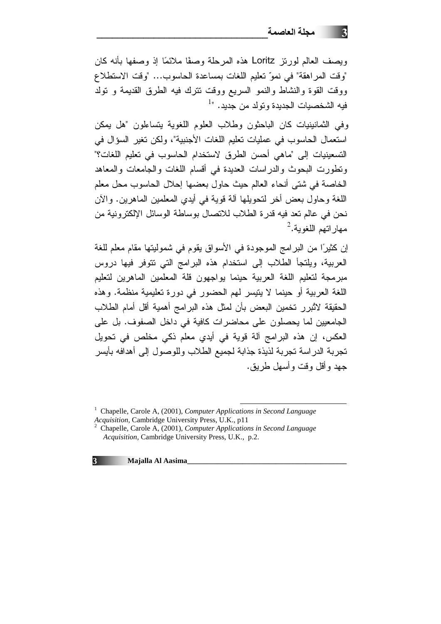وبصف العالم لورنز Loritz هذه المرحلة وصفًا ملائمًا إذ وصفها بأنه كان "وقت المراهقة" في نموّ تعليم اللغات بمساعدة الحاسوب... "وقت الاستطلاع ووقت القوة والنشاط والنمو السريع ووقت نترك فيه الطرق القديمة و نولد فيه الشخصيات الجديدة ونولد من جديد. "<sup>1</sup>

وفي الثمانينيات كان الباحثون وطلاب العلوم اللغوية يتساءلون "هل يمكن استعمال الحاسوب في عمليات تعليم اللغات الأجنبية"، ولكن تغير السؤال في التسعينيات إلى "ماهى أحسن الطرق لاستخدام الحاسوب في تعليم اللغات؟" ونطورت البحوث والدراسات العديدة في أقسام اللغات والجامعات والمعاهد الخاصة في شتى أنحاء العالم حيث حاول بعضها إحلال الحاسوب محل معلم اللغة و حاول بعض أخر التحويلها آلة قوية في أيدي المعلمين الماهرين. والآن نحن في عالم تعد فيه قدرة الطلاب للاتصال بوساطة الوسائل الإلكترونية من مهار اتهم اللغوية.<sup>2</sup>

إن كثيرًا من البرامج الموجودة في الأسواق يقوم في شموليتها مقام معلم للغة العربية، ويلتجأ الطلاب إلى استخدام هذه البرامج التي نتوفر فيها دروس مبرمجة لتعليم اللغة العربية حينما يواجهون قلة المعلمين الماهرين لتعليم اللغة العربية أو حينما لا يتيسر لهم الحضور في دورة تعليمية منظمة. وهذه الحقيقة لاثُبرر تخمين البعض بأن لمثل هذه البرامج أهمية أقل أمام الطلاب الجامعيين لما بحصلون على محاضر ات كافية في داخل الصفوف. بل على العكس، إن هذه البرامج آلة قوية في أيدي معلم ذكي مخلص في تحويل تجربة الدراسة تجربة لذيذة جذابة لجميع الطلاب وللوصول إلى أهدافه بأيسر جهد و أقل و قت و أسهل طريق.

<sup>&</sup>lt;sup>2</sup> Chapelle, Carole A, (2001), Computer Applications in Second Language Acquisition, Cambridge University Press, U.K., p.2.



<sup>&</sup>lt;sup>1</sup> Chapelle, Carole A, (2001), *Computer Applications in Second Language* Acquisition, Cambridge University Press, U.K., p11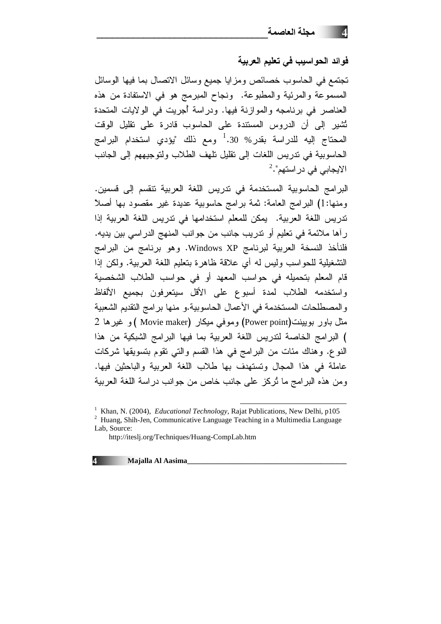فوائد الحواسيب في تعليم العربية

تجتمع في الحاسوب خصائص ومزايا جميع وسائل الانصال بما فيها الوسائل المسموعة والمرئية والمطبوعة. ونجاح المبرمج هو في الاستفادة من هذه العناصر في برنامجه والموازنة فيها. ودراسة أجريت في الولايات المتحدة تُشير إلى أن الدروس المستندة على الحاسوب قادرة على نقليل الوقت المحتاج إليه للدراسة بقدر % <sup>1</sup>.30 ومع ذلك "يؤدي استخدام البرامج الحاسوبية في تدريس اللغات إلى تقليل تلهف الطلاب ولتوجيههم إلى الجانب  $^2.$ الايجابي في در استهم"

البر امج الحاسوبية المستخدمة في تدريس اللغة العربية تتقسم إلى قسمين. ومنها:1) البرامج العامة: ثمة برامج حاسوبية عديدة غير مقصود بها أصلأ تدريس اللغة العربية. يمكن للمعلم استخدامها في تدريس اللغة العربية إذا ر أها ملائمة في تعليم أو تدريب جانب من جوانب المنهج الدراسي بين يديه. فلنأخذ النسخة العربية لبرنامج Windows XP. وهو برنامج من البرامج التشغيلية للحواسب وليس له أي علاقة ظاهرة بتعليم اللغة العربية. ولكن إذا قام المعلم بتحميله في حواسب المعهد أو في حواسب الطلاب الشخصية واستخدمه الطلاب لمدة أسبوع على الأقل سيتعرفون بجميع الألفاظ والمصطلحات المستخدمة في الأعمال الحاسوبية.و منها برامج التقديم الشعبية 2 مثل باور بويينت(Power point) وموفى ميكار (Movie maker )و غيرها ) البرامج الخاصة لتدريس اللغة العربية بما فيها البرامج الشبكية من هذا النوع. وهناك مئات من البرامج في هذا القسم والتي تقوم بتسويقها شركات عاملة في هذا المجال وتستهدف بها طلاب اللغة العربية والباحثين فيها. ومن هذه البرامج ما ثُركز على جانب خاص من جوانب دراسة اللغة العربية

 $\overline{a}$ 

**4 Majalla Al Aasima\_\_\_\_\_\_\_\_\_\_\_\_\_\_\_\_\_\_\_\_\_\_\_\_\_\_\_\_\_\_\_\_\_\_\_\_\_\_\_\_\_\_\_**

<sup>&</sup>lt;sup>1</sup> Khan, N. (2004), *Educational Technology*, Rajat Publications, New Delhi, p105 <sup>2</sup> Huang, Shih-Jen, Communicative Language Teaching in a Multimedia Language Lab, Source:

http://iteslj.org/Techniques/Huang-CompLab.htm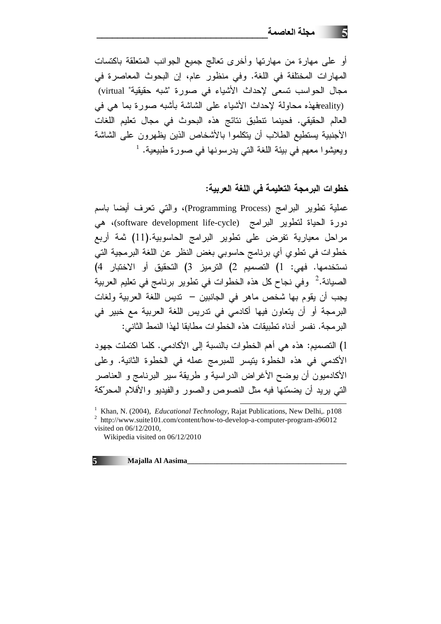أو على مهارة من مهارتها وأخرى تعالج جميع الجوانب المتعلقة باكتسات المهارات المختلفة في اللغة. وفي منظور عام، إن البحوث المعاصرة في مجال الحواسب نسعى لإحداث الأشياء في صورة "شبه حقيقية" virtual) ّا eality) وتعذه محاولة لإحداث الأشياء على الشاشة بأشبه صورة بما هي في العالم الحقيقي. فحينما نتطبق نتائج هذه البحوث في مجال تعليم اللغات الأجنبية يستطيع الطلاب أن يتكلموا بالأشخاص الذين يظهرون على الشاشة ويعيشوا معهم في بيئة اللغة التي يدرسونها في صورة طبيعية. <sup>1</sup>

## خطوات البرمجة التعليمة في اللغة العربية:

عملية نطوير البرامج (Programming Process)، والتي نعرف أيضا باسم دورة الحياة لتطوير البرامج (software development life-cycle)، هي مراحل معيارية تفرض على تطوير البرامج الحاسوبية.(11) ثمة أربع خطوات في تطوي أي برنامج حاسوبي بغض النظر عن اللغة البرمجية التي نستخدمها. فهي: 1) التصميم 2) الترميز 3) التحقيق أو الاختبار 4) الصبانة.<sup>2</sup> وفي نجاح كل هذه الخطوات في تطوير برنامج في تعليم العربية يجب أن يقوم بها شخص ماهر في الجانبين – نديس اللغة العربية ولغات البرمجة أو أن يتعاون فيها أكادمي في ندريس اللغة العربية مع خبير في البر مجة. نفسر أدناه تطبيقات هذه الخطوات مطابقا لهذا النمط الثاني:

1) التصميم: هذه هي أهم الخطوات بالنسبة إلى الأكادمي. كلما اكتملت جهود الأكدمي في هذه الخطوة يتيسر للمبرمج عمله في الخطوة الثانية. وعلى الأكادميون أن يوضح الأغراض الدراسية و طريقة سير البرنامج و العناصر التي يريد أن يضمّنها فيه مثل النصوص والصور والفيديو والأفلام المحرّكة

 $\overline{a}$ 

**5 Majalla Al Aasima\_\_\_\_\_\_\_\_\_\_\_\_\_\_\_\_\_\_\_\_\_\_\_\_\_\_\_\_\_\_\_\_\_\_\_\_\_\_\_\_\_\_\_**

<sup>&</sup>lt;sup>1</sup> Khan, N. (2004), *Educational Technology*, Rajat Publications, New Delhi,. p108 <sup>2</sup> http://www.suite101.com/content/how-to-develop-a-computer-program-a96012 visited on 06/12/2010,

Wikipedia visited on 06/12/2010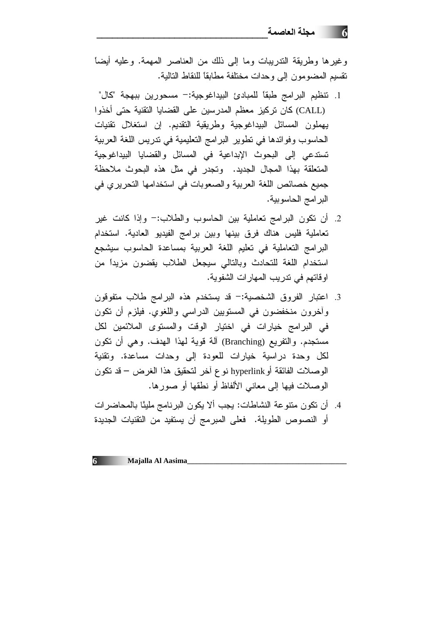وغيرها وطريقة الندريبات وما إلى ذلك من العناصر المهمة. وعليه أيضاً نقسيم المضومون إلى وحدات مختلفة مطابقاً للنقاط التالية.

- 1. نتظيم البرامج طبقاً للمبادئ البيداغوجية:– مسحورين ببهجة "كال" (CALL) كان تركيز معظم المدرسين على القضايا التقنية حتى أخذوا يهملون المسائل البيداغوجية وطريقية التقديم. إن استغلال تقنيات الحاسوب وفوائدها في تطوير البرامج التعليمية في تدريس اللغة العربية تستدعى إلى البحوث الإبداعية في المسائل والقضايا البيداغوجية المتعلقة بهذا المجال الجديد. وتجدر في مثل هذه البحوث ملاحظة جميع خصائص اللغة العربية والصعوبات في استخدامها التحريري في البرامج الحاسوبية.
- 2. أن نكون البرامج نعاملية بين الحاسوب والطلاب:- وإذا كانت غير تعاملية فليس هناك فرق بينها وبين برامج الفيديو العادية. استخدام البرامج التعاملية في تعليم اللغة العربية بمساعدة الحاسوب سيشجع استخدام اللغة للتحادث وبالتالي سيجعل الطلاب يقضون مزيداً من اوفاتهم في ندريب المهارات الشفوية.
- 3. اعتبار الفروق الشخصية:- قد يستخدم هذه البرامج طلاب متفوقون وأخرون منخفضون في المستويين الدراسي واللغوي. فيلزم أن نكون في البرامج خيارات في اختيار الوقت والمستوى الملائمين لكل مستجدم. والنفريع (Branching) آلة قوية لهذا الهدف. وهي أن تكون لكل وحدة دراسية خيارات للعودة إلى وحدات مساعدة. وتقنية الوصلات الفائقة أو hyperlink نوع آخر لتحقيق هذا الغرض – قد تكون الوصلات فيها إلى معاني الألفاظ أو نطقها أو صورها.
- 4. أن نكون منتوعة النشاطات: يجب ألا يكون البرنامج مليئًا بالمحاضرات أو النصوص الطويلة. فعلى المبرمج أن يستفيد من التقنيات الجديدة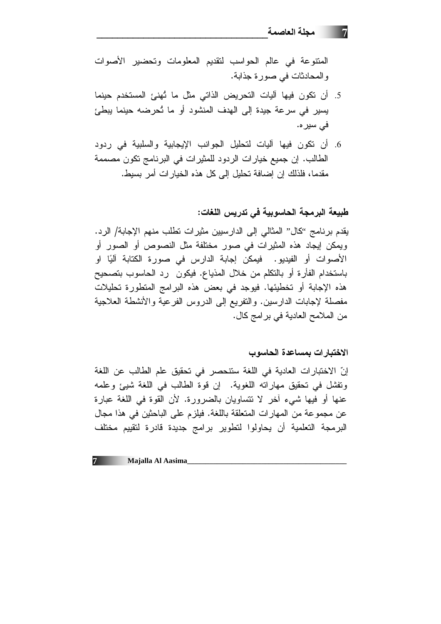المنتوعة في عالم الحواسب لتقديم المعلومات وتحضير الأصوات والمحادثات في صورة جذابة.

- 5. أن تكون فيها آليات التحريض الذاتي مثل ما تُهنئ المستخدم حينما يسير في سرعة جيدة إلى الهدف المنشود أو ما تُحرضه حينما يبطئ فے سبر ہ.
- 6. أن نكون فيها آليات لتحليل الجوانب الإيجابية والسلبية في ردود الطالب. إن جميع خيار ات الردود للمثير ات في البرنامج تكون مصممة مقدما، فلذلك إن إضافة تحليل إلى كل هذه الخبار ات أمر بسبط.

طبيعة البرمجة الحاسوبية في تدريس اللغات:

يقدم برنامج ''كال'' المثالي إلى الدارسيين مثيرات نطلب منهم الإجابة/ الرد. ويمكن إيجاد هذه المثيرات في صور مختلفة مثل النصوص أو الصور أو الأصوات أو الفيديو. فيمكن إجابة الدارس في صورة الكتابة آليًا او باستخدام الفأرة أو بالتكلم من خلال المذياع. فيكون رد الحاسوب بتصحيح هذه الإجابة أو تخطيئها. فيوجد في بعض هذه البرامج المنطورة تحليلات مفصلة لإجابات الدارسين. والنفريع إلى الدروس الفرعية والأنشطة العلاجية من الملامح العادية في برامج كال.

## الاختبار ات بمساعدة الحاسوب

إنّ الاختبار ات العادية في اللغة ستتحصر في تحقيق علم الطالب عن اللغة وتفشل في تحقيق مهاراته اللغوية. إن قوة الطالب في اللغة شيئ وعلمه عنها أو فيها شيء آخر لا تتساويان بالضرورة. لأن القوة في اللغة عبارة عن مجموعة من المهارات المتعلقة باللغة. فيلزم على الباحثين في هذا مجال البرمجة التعلمية أن يحاولوا لتطوير برامج جديدة قادرة لتقييم مختلف